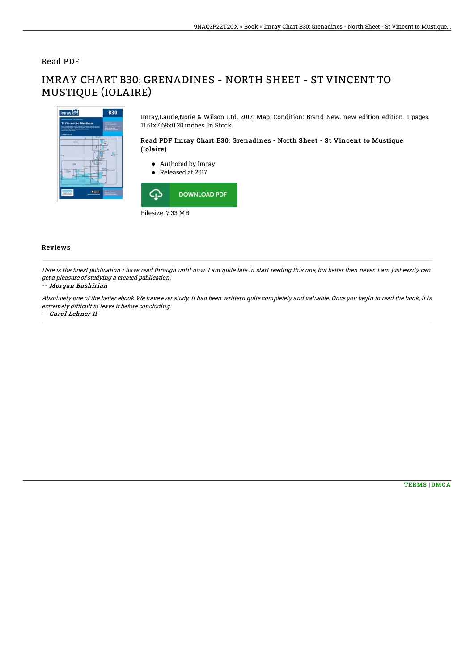### Read PDF

# IMRAY CHART B30: GRENADINES - NORTH SHEET - ST VINCENT TO MUSTIQUE (IOLAIRE)



Imray,Laurie,Norie & Wilson Ltd, 2017. Map. Condition: Brand New. new edition edition. 1 pages. 11.61x7.68x0.20 inches. In Stock.

#### Read PDF Imray Chart B30: Grenadines - North Sheet - St Vincent to Mustique (Iolaire)

- Authored by Imray
- Released at 2017 ⊕ **DOWNLOAD PDF**

Filesize: 7.33 MB

### Reviews

Here is the finest publication i have read through until now. I am quite late in start reading this one, but better then never. I am just easily can get <sup>a</sup> pleasure of studying <sup>a</sup> created publication.

#### -- Morgan Bashirian

Absolutely one of the better ebook We have ever study. it had been writtern quite completely and valuable. Once you begin to read the book, it is extremely difficult to leave it before concluding.

-- Carol Lehner II